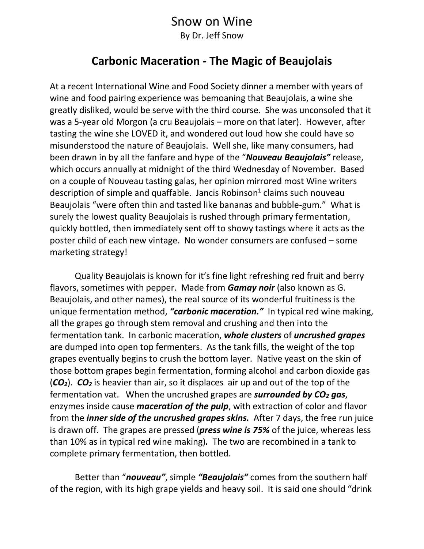## Snow on Wine

By Dr. Jeff Snow

## **Carbonic Maceration - The Magic of Beaujolais**

At a recent International Wine and Food Society dinner a member with years of wine and food pairing experience was bemoaning that Beaujolais, a wine she greatly disliked, would be serve with the third course. She was unconsoled that it was a 5-year old Morgon (a cru Beaujolais – more on that later). However, after tasting the wine she LOVED it, and wondered out loud how she could have so misunderstood the nature of Beaujolais. Well she, like many consumers, had been drawn in by all the fanfare and hype of the "*Nouveau Beaujolais"* release, which occurs annually at midnight of the third Wednesday of November. Based on a couple of Nouveau tasting galas, her opinion mirrored most Wine writers description of simple and quaffable. Jancis Robinson<sup>1</sup> claims such nouveau Beaujolais "were often thin and tasted like bananas and bubble-gum." What is surely the lowest quality Beaujolais is rushed through primary fermentation, quickly bottled, then immediately sent off to showy tastings where it acts as the poster child of each new vintage. No wonder consumers are confused – some marketing strategy!

Quality Beaujolais is known for it's fine light refreshing red fruit and berry flavors, sometimes with pepper. Made from *Gamay noir* (also known as G. Beaujolais, and other names), the real source of its wonderful fruitiness is the unique fermentation method, *"carbonic maceration."* In typical red wine making, all the grapes go through stem removal and crushing and then into the fermentation tank. In carbonic maceration, *whole clusters* of *uncrushed grapes* are dumped into open top fermenters. As the tank fills, the weight of the top grapes eventually begins to crush the bottom layer. Native yeast on the skin of those bottom grapes begin fermentation, forming alcohol and carbon dioxide gas (*CO2*). *CO<sup>2</sup>* is heavier than air, so it displaces air up and out of the top of the fermentation vat. When the uncrushed grapes are *surrounded by CO<sup>2</sup> gas*, enzymes inside cause *maceration of the pulp*, with extraction of color and flavor from the *inner side of the uncrushed grapes skins.* After 7 days, the free run juice is drawn off. The grapes are pressed (*press wine is 75%* of the juice, whereas less than 10% as in typical red wine making)*.* The two are recombined in a tank to complete primary fermentation, then bottled.

Better than "*nouveau"*, simple *"Beaujolais"* comes from the southern half of the region, with its high grape yields and heavy soil. It is said one should "drink